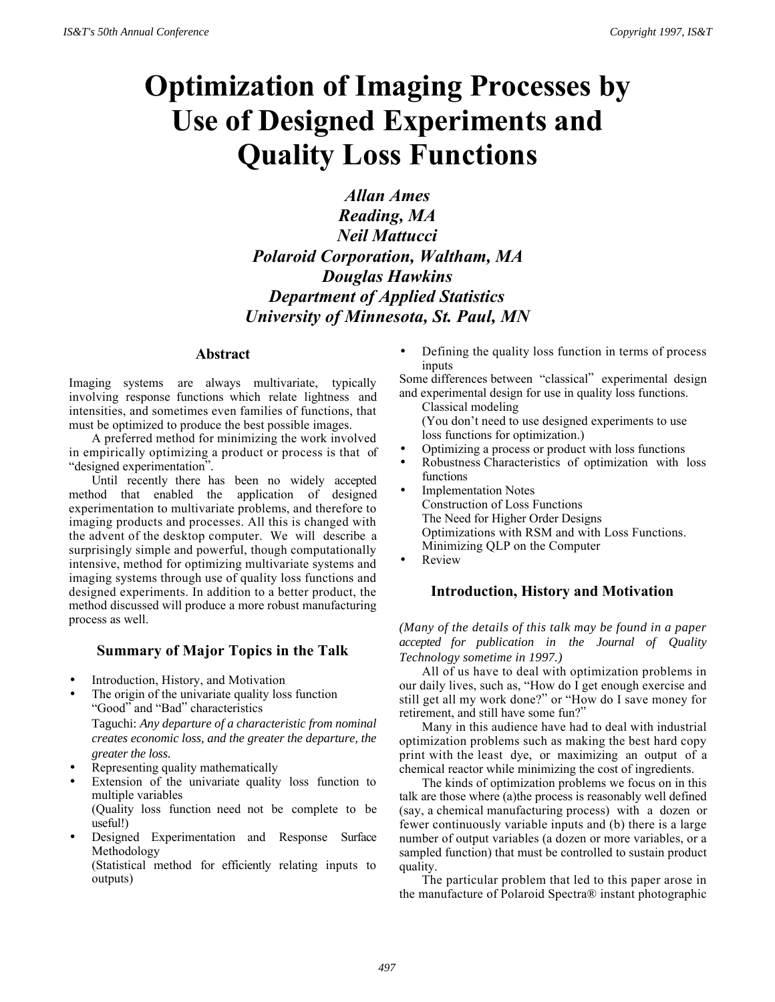# **Optimization of Imaging Processes by Use of Designed Experiments and Quality Loss Functions**

*Allan Ames Reading, MA Neil Mattucci Polaroid Corporation, Waltham, MA Douglas Hawkins Department of Applied Statistics University of Minnesota, St. Paul, MN*

# **Abstract**

Imaging systems are always multivariate, typically involving response functions which relate lightness and intensities, and sometimes even families of functions, that must be optimized to produce the best possible images.

A preferred method for minimizing the work involved in empirically optimizing a product or process is that of "designed experimentation".

Until recently there has been no widely accepted method that enabled the application of designed experimentation to multivariate problems, and therefore to imaging products and processes. All this is changed with the advent of the desktop computer. We will describe a surprisingly simple and powerful, though computationally intensive, method for optimizing multivariate systems and imaging systems through use of quality loss functions and designed experiments. In addition to a better product, the method discussed will produce a more robust manufacturing process as well.

## **Summary of Major Topics in the Talk**

- Introduction, History, and Motivation
- The origin of the univariate quality loss function "Good" and "Bad" characteristics Taguchi: *Any departure of a characteristic from nominal creates economic loss, and the greater the departure, the greater the loss*.
- Representing quality mathematically

outputs)

Extension of the univariate quality loss function to multiple variables (Quality loss function need not be complete to be

useful!)

• Designed Experimentation and Response Surface Methodology (Statistical method for efficiently relating inputs to

• Defining the quality loss function in terms of process inputs

Some differences between "classical" experimental design and experimental design for use in quality loss functions.

- Classical modeling (You don't need to use designed experiments to use loss functions for optimization.)
- Optimizing a process or product with loss functions
- Robustness Characteristics of optimization with loss functions
- **Implementation Notes** Construction of Loss Functions The Need for Higher Order Designs Optimizations with RSM and with Loss Functions. Minimizing QLP on the Computer
- Review

# **Introduction, History and Motivation**

*(Many of the details of this talk may be found in a paper accepted for publication in the Journal of Quality Technology sometime in 1997.)*

All of us have to deal with optimization problems in our daily lives, such as, "How do I get enough exercise and still get all my work done?" or "How do I save money for retirement, and still have some fun?"

Many in this audience have had to deal with industrial optimization problems such as making the best hard copy print with the least dye, or maximizing an output of a chemical reactor while minimizing the cost of ingredients.

The kinds of optimization problems we focus on in this talk are those where (a)the process is reasonably well defined (say, a chemical manufacturing process) with a dozen or fewer continuously variable inputs and (b) there is a large number of output variables (a dozen or more variables, or a sampled function) that must be controlled to sustain product quality.

The particular problem that led to this paper arose in the manufacture of Polaroid Spectra® instant photographic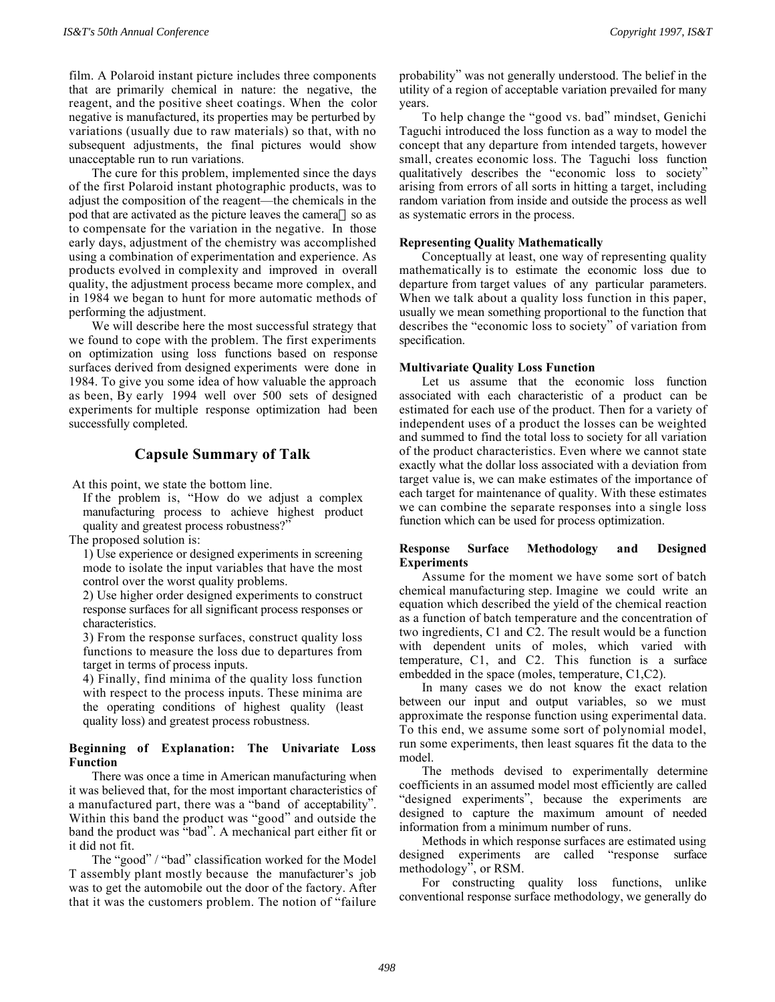film. A Polaroid instant picture includes three components that are primarily chemical in nature: the negative, the reagent, and the positive sheet coatings. When the color negative is manufactured, its properties may be perturbed by variations (usually due to raw materials) so that, with no subsequent adjustments, the final pictures would show unacceptable run to run variations.

The cure for this problem, implemented since the days of the first Polaroid instant photographic products, was to adjust the composition of the reagent—the chemicals in the pod that are activated as the picture leaves the camera-so as to compensate for the variation in the negative. In those early days, adjustment of the chemistry was accomplished using a combination of experimentation and experience. As products evolved in complexity and improved in overall quality, the adjustment process became more complex, and in 1984 we began to hunt for more automatic methods of performing the adjustment.

We will describe here the most successful strategy that we found to cope with the problem. The first experiments on optimization using loss functions based on response surfaces derived from designed experiments were done in 1984. To give you some idea of how valuable the approach as been, By early 1994 well over 500 sets of designed experiments for multiple response optimization had been successfully completed.

## **Capsule Summary of Talk**

At this point, we state the bottom line.

If the problem is, "How do we adjust a complex manufacturing process to achieve highest product quality and greatest process robustness?"

The proposed solution is:

1) Use experience or designed experiments in screening mode to isolate the input variables that have the most control over the worst quality problems.

2) Use higher order designed experiments to construct response surfaces for all significant process responses or characteristics.

3) From the response surfaces, construct quality loss functions to measure the loss due to departures from target in terms of process inputs.

4) Finally, find minima of the quality loss function with respect to the process inputs. These minima are the operating conditions of highest quality (least quality loss) and greatest process robustness.

## **Beginning of Explanation: The Univariate Loss Function**

There was once a time in American manufacturing when it was believed that, for the most important characteristics of a manufactured part, there was a "band of acceptability". Within this band the product was "good" and outside the band the product was "bad". A mechanical part either fit or it did not fit.

The "good" / "bad" classification worked for the Model T assembly plant mostly because the manufacturer's job was to get the automobile out the door of the factory. After that it was the customers problem. The notion of "failure

probability" was not generally understood. The belief in the utility of a region of acceptable variation prevailed for many years.

To help change the "good vs. bad" mindset, Genichi Taguchi introduced the loss function as a way to model the concept that any departure from intended targets, however small, creates economic loss. The Taguchi loss function qualitatively describes the "economic loss to society" arising from errors of all sorts in hitting a target, including random variation from inside and outside the process as well as systematic errors in the process.

### **Representing Quality Mathematically**

Conceptually at least, one way of representing quality mathematically is to estimate the economic loss due to departure from target values of any particular parameters. When we talk about a quality loss function in this paper, usually we mean something proportional to the function that describes the "economic loss to society" of variation from specification.

#### **Multivariate Quality Loss Function**

Let us assume that the economic loss function associated with each characteristic of a product can be estimated for each use of the product. Then for a variety of independent uses of a product the losses can be weighted and summed to find the total loss to society for all variation of the product characteristics. Even where we cannot state exactly what the dollar loss associated with a deviation from target value is, we can make estimates of the importance of each target for maintenance of quality. With these estimates we can combine the separate responses into a single loss function which can be used for process optimization.

## **Response Surface Methodology and Designed Experiments**

Assume for the moment we have some sort of batch chemical manufacturing step. Imagine we could write an equation which described the yield of the chemical reaction as a function of batch temperature and the concentration of two ingredients, C1 and C2. The result would be a function with dependent units of moles, which varied with temperature, C1, and C2. This function is a surface embedded in the space (moles, temperature, C1,C2).

In many cases we do not know the exact relation between our input and output variables, so we must approximate the response function using experimental data. To this end, we assume some sort of polynomial model, run some experiments, then least squares fit the data to the model.

The methods devised to experimentally determine coefficients in an assumed model most efficiently are called "designed experiments", because the experiments are designed to capture the maximum amount of needed information from a minimum number of runs.

Methods in which response surfaces are estimated using designed experiments are called "response surface methodology", or RSM.

For constructing quality loss functions, unlike conventional response surface methodology, we generally do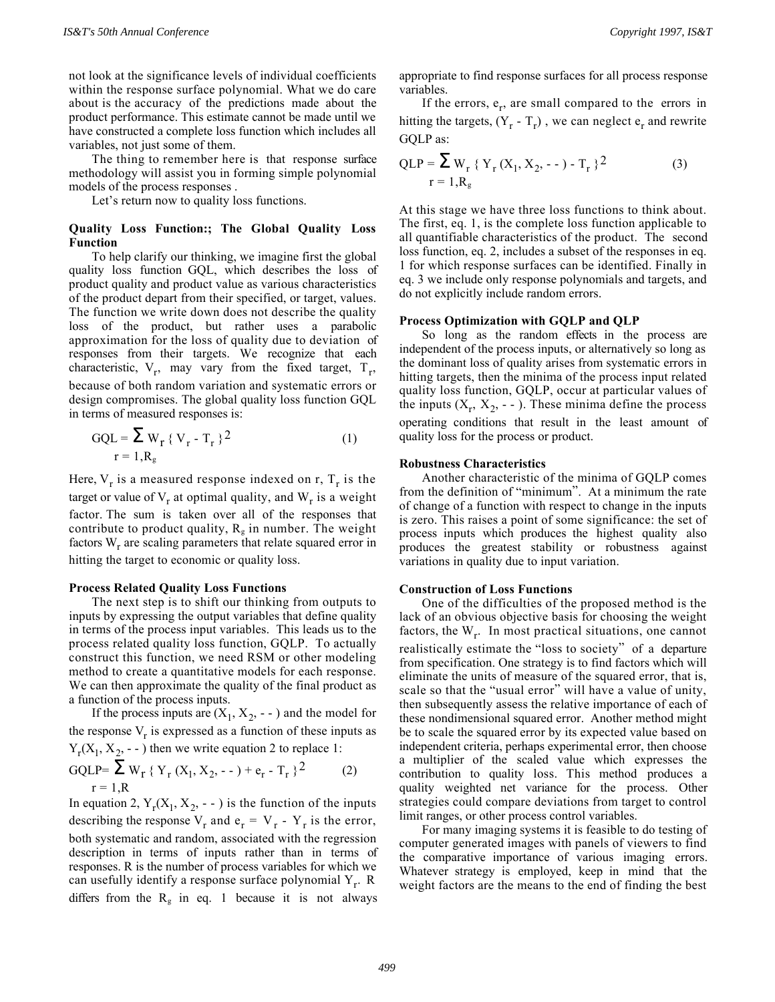not look at the significance levels of individual coefficients within the response surface polynomial. What we do care about is the accuracy of the predictions made about the product performance. This estimate cannot be made until we have constructed a complete loss function which includes all variables, not just some of them.

The thing to remember here is that response surface methodology will assist you in forming simple polynomial models of the process responses .

Let's return now to quality loss functions.

## **Quality Loss Function:; The Global Quality Loss Function**

To help clarify our thinking, we imagine first the global quality loss function GQL, which describes the loss of product quality and product value as various characteristics of the product depart from their specified, or target, values. The function we write down does not describe the quality loss of the product, but rather uses a parabolic approximation for the loss of quality due to deviation of responses from their targets. We recognize that each characteristic,  $V_r$ , may vary from the fixed target,  $T_r$ , because of both random variation and systematic errors or design compromises. The global quality loss function GQL in terms of measured responses is:

$$
GQL = \sum_{r=1, R_g} W_r \{ V_r - T_r \}^2
$$
 (1)

Here,  $V_r$  is a measured response indexed on r,  $T_r$  is the target or value of  $V_r$  at optimal quality, and  $W_r$  is a weight factor. The sum is taken over all of the responses that contribute to product quality,  $R_g$  in number. The weight factors  $W_r$  are scaling parameters that relate squared error in hitting the target to economic or quality loss.

#### **Process Related Quality Loss Functions**

The next step is to shift our thinking from outputs to inputs by expressing the output variables that define quality in terms of the process input variables. This leads us to the process related quality loss function, GQLP. To actually construct this function, we need RSM or other modeling method to create a quantitative models for each response. We can then approximate the quality of the final product as a function of the process inputs.

If the process inputs are  $(X_1, X_2, \text{-})$  and the model for the response  $V_r$  is expressed as a function of these inputs as  $Y_r(X_1, X_2, \ldots)$  then we write equation 2 to replace 1:

GQLP=
$$
\sum_{r=1,R} W_r {Y_r (X_1, X_2, -) + e_r - T_r}^2
$$
 (2)

In equation 2,  $Y_r(X_1, X_2, -)$  is the function of the inputs describing the response  $V_r$  and  $e_r = V_r - Y_r$  is the error, both systematic and random, associated with the regression description in terms of inputs rather than in terms of responses. R is the number of process variables for which we can usefully identify a response surface polynomial Y<sub>r</sub>. R differs from the  $R_g$  in eq. 1 because it is not always

appropriate to find response surfaces for all process response variables.

If the errors,  $e_r$ , are small compared to the errors in hitting the targets,  $(Y_r - T_r)$ , we can neglect  $e_r$  and rewrite GQLP as:

$$
QLP = \sum_{r=1, R_g} W_r \{ Y_r (X_1, X_2, -) - T_r \}^2
$$
 (3)

At this stage we have three loss functions to think about. The first, eq. 1, is the complete loss function applicable to all quantifiable characteristics of the product. The second loss function, eq. 2, includes a subset of the responses in eq. 1 for which response surfaces can be identified. Finally in eq. 3 we include only response polynomials and targets, and do not explicitly include random errors.

#### **Process Optimization with GQLP and QLP**

So long as the random effects in the process are independent of the process inputs, or alternatively so long as the dominant loss of quality arises from systematic errors in hitting targets, then the minima of the process input related quality loss function, GQLP, occur at particular values of the inputs  $(X_r, X_2, \text{-})$ . These minima define the process operating conditions that result in the least amount of quality loss for the process or product.

#### **Robustness Characteristics**

Another characteristic of the minima of GQLP comes from the definition of "minimum". At a minimum the rate of change of a function with respect to change in the inputs is zero. This raises a point of some significance: the set of process inputs which produces the highest quality also produces the greatest stability or robustness against variations in quality due to input variation.

#### **Construction of Loss Functions**

One of the difficulties of the proposed method is the lack of an obvious objective basis for choosing the weight factors, the  $W_r$ . In most practical situations, one cannot realistically estimate the "loss to society" of a departure from specification. One strategy is to find factors which will eliminate the units of measure of the squared error, that is, scale so that the "usual error" will have a value of unity, then subsequently assess the relative importance of each of these nondimensional squared error. Another method might be to scale the squared error by its expected value based on independent criteria, perhaps experimental error, then choose a multiplier of the scaled value which expresses the contribution to quality loss. This method produces a quality weighted net variance for the process. Other strategies could compare deviations from target to control limit ranges, or other process control variables.

For many imaging systems it is feasible to do testing of computer generated images with panels of viewers to find the comparative importance of various imaging errors. Whatever strategy is employed, keep in mind that the weight factors are the means to the end of finding the best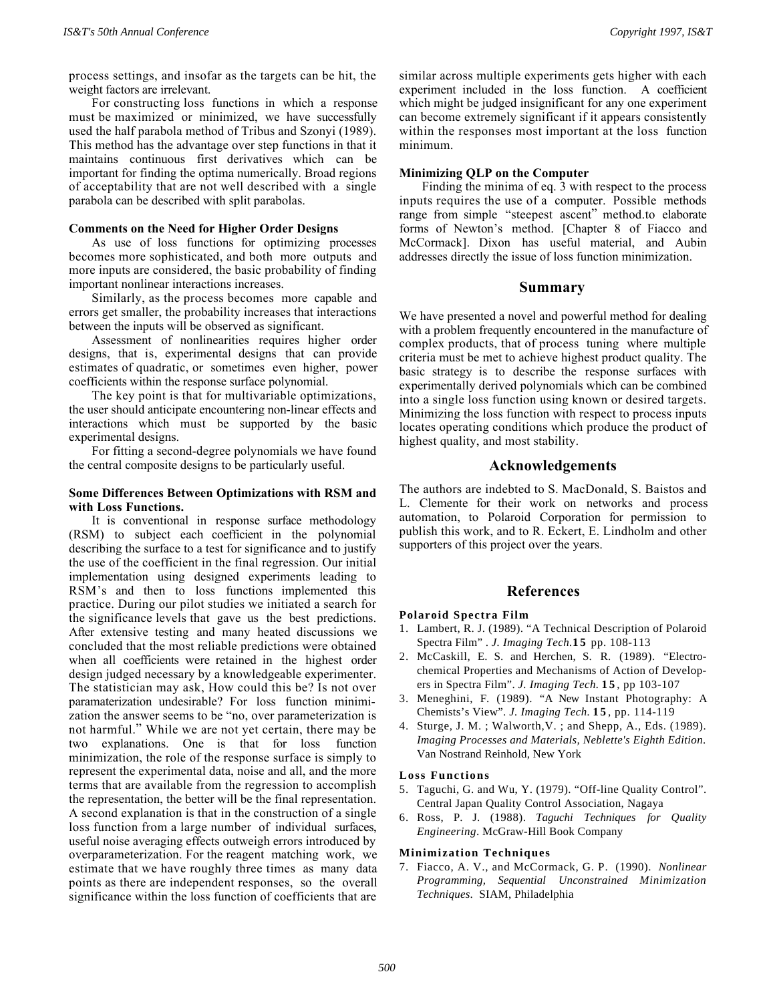process settings, and insofar as the targets can be hit, the weight factors are irrelevant.

For constructing loss functions in which a response must be maximized or minimized, we have successfully used the half parabola method of Tribus and Szonyi (1989). This method has the advantage over step functions in that it maintains continuous first derivatives which can be important for finding the optima numerically. Broad regions of acceptability that are not well described with a single parabola can be described with split parabolas.

#### **Comments on the Need for Higher Order Designs**

As use of loss functions for optimizing processes becomes more sophisticated, and both more outputs and more inputs are considered, the basic probability of finding important nonlinear interactions increases.

Similarly, as the process becomes more capable and errors get smaller, the probability increases that interactions between the inputs will be observed as significant.

Assessment of nonlinearities requires higher order designs, that is, experimental designs that can provide estimates of quadratic, or sometimes even higher, power coefficients within the response surface polynomial.

The key point is that for multivariable optimizations, the user should anticipate encountering non-linear effects and interactions which must be supported by the basic experimental designs.

For fitting a second-degree polynomials we have found the central composite designs to be particularly useful.

#### **Some Differences Between Optimizations with RSM and with Loss Functions.**

It is conventional in response surface methodology (RSM) to subject each coefficient in the polynomial describing the surface to a test for significance and to justify the use of the coefficient in the final regression. Our initial implementation using designed experiments leading to RSM's and then to loss functions implemented this practice. During our pilot studies we initiated a search for the significance levels that gave us the best predictions. After extensive testing and many heated discussions we concluded that the most reliable predictions were obtained when all coefficients were retained in the highest order design judged necessary by a knowledgeable experimenter. The statistician may ask, How could this be? Is not over paramaterization undesirable? For loss function minimization the answer seems to be "no, over parameterization is not harmful." While we are not yet certain, there may be two explanations. One is that for loss function minimization, the role of the response surface is simply to represent the experimental data, noise and all, and the more terms that are available from the regression to accomplish the representation, the better will be the final representation. A second explanation is that in the construction of a single loss function from a large number of individual surfaces, useful noise averaging effects outweigh errors introduced by overparameterization. For the reagent matching work, we estimate that we have roughly three times as many data points as there are independent responses, so the overall significance within the loss function of coefficients that are

similar across multiple experiments gets higher with each experiment included in the loss function. A coefficient which might be judged insignificant for any one experiment can become extremely significant if it appears consistently within the responses most important at the loss function minimum.

#### **Minimizing QLP on the Computer**

Finding the minima of eq. 3 with respect to the process inputs requires the use of a computer. Possible methods range from simple "steepest ascent" method.to elaborate forms of Newton's method. [Chapter 8 of Fiacco and McCormack]. Dixon has useful material, and Aubin addresses directly the issue of loss function minimization.

## **Summary**

We have presented a novel and powerful method for dealing with a problem frequently encountered in the manufacture of complex products, that of process tuning where multiple criteria must be met to achieve highest product quality. The basic strategy is to describe the response surfaces with experimentally derived polynomials which can be combined into a single loss function using known or desired targets. Minimizing the loss function with respect to process inputs locates operating conditions which produce the product of highest quality, and most stability.

# **Acknowledgements**

The authors are indebted to S. MacDonald, S. Baistos and L. Clemente for their work on networks and process automation, to Polaroid Corporation for permission to publish this work, and to R. Eckert, E. Lindholm and other supporters of this project over the years.

## **References**

#### **Polaroid Spectra Film**

- 1. Lambert, R. J. (1989). "A Technical Description of Polaroid Spectra Film" . *J. Imaging Tech.***1 5** pp. 108-113
- 2. McCaskill, E. S. and Herchen, S. R. (1989). "Electrochemical Properties and Mechanisms of Action of Developers in Spectra Film". *J. Imaging Tech.* **1 5** , pp 103-107
- 3. Meneghini, F. (1989). "A New Instant Photography: A Chemists's View". *J. Imaging Tech.* **1 5** , pp. 114-119
- 4. Sturge, J. M. ; Walworth,V. ; and Shepp, A., Eds. (1989). *Imaging Processes and Materials, Neblette's Eighth Edition*. Van Nostrand Reinhold, New York

#### **Loss Functions**

- 5. Taguchi, G. and Wu, Y. (1979). "Off-line Quality Control". Central Japan Quality Control Association, Nagaya
- 6. Ross, P. J. (1988). *Taguchi Techniques for Quality Engineering*. McGraw-Hill Book Company

#### **Minimization Techniques**

7. Fiacco, A. V., and McCormack, G. P. (1990). *Nonlinear Programming, Sequential Unconstrained Minimization Techniques*. SIAM, Philadelphia